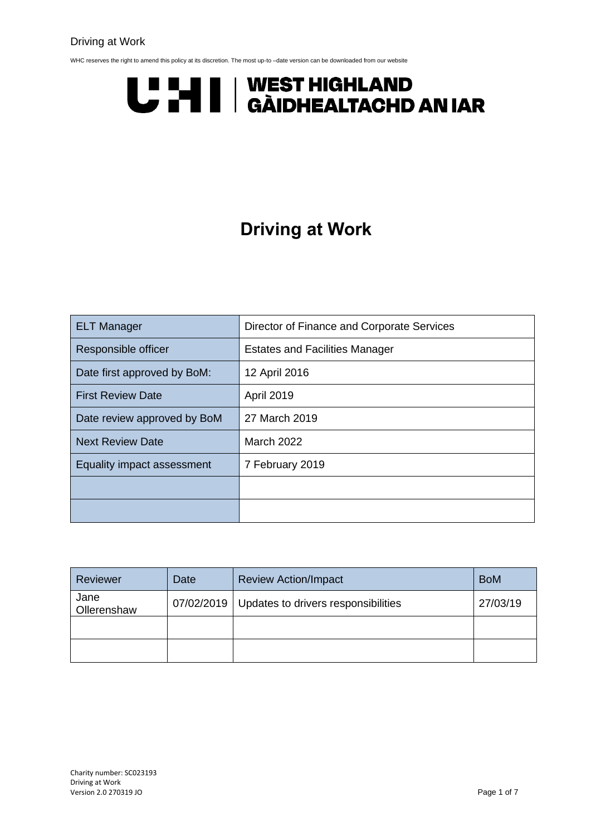#### Driving at Work

WHC reserves the right to amend this policy at its discretion. The most up-to -date version can be downloaded from our website

# U "HI | WEST HIGHLAND<br>U THI | GÀIDHEALTACHD AN IAR

## **Driving at Work**

| <b>ELT Manager</b>          | Director of Finance and Corporate Services |  |
|-----------------------------|--------------------------------------------|--|
| Responsible officer         | <b>Estates and Facilities Manager</b>      |  |
| Date first approved by BoM: | 12 April 2016                              |  |
| <b>First Review Date</b>    | <b>April 2019</b>                          |  |
| Date review approved by BoM | 27 March 2019                              |  |
| <b>Next Review Date</b>     | <b>March 2022</b>                          |  |
| Equality impact assessment  | 7 February 2019                            |  |
|                             |                                            |  |
|                             |                                            |  |

| Reviewer            | Date       | <b>Review Action/Impact</b>         | <b>BoM</b> |
|---------------------|------------|-------------------------------------|------------|
| Jane<br>Ollerenshaw | 07/02/2019 | Updates to drivers responsibilities | 27/03/19   |
|                     |            |                                     |            |
|                     |            |                                     |            |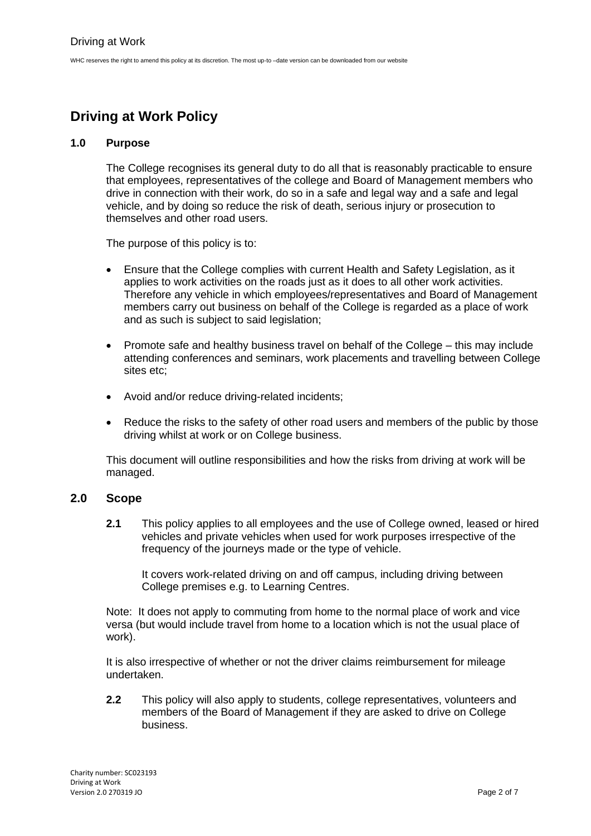### **Driving at Work Policy**

#### **1.0 Purpose**

The College recognises its general duty to do all that is reasonably practicable to ensure that employees, representatives of the college and Board of Management members who drive in connection with their work, do so in a safe and legal way and a safe and legal vehicle, and by doing so reduce the risk of death, serious injury or prosecution to themselves and other road users.

The purpose of this policy is to:

- Ensure that the College complies with current Health and Safety Legislation, as it applies to work activities on the roads just as it does to all other work activities. Therefore any vehicle in which employees/representatives and Board of Management members carry out business on behalf of the College is regarded as a place of work and as such is subject to said legislation;
- Promote safe and healthy business travel on behalf of the College this may include attending conferences and seminars, work placements and travelling between College sites etc;
- Avoid and/or reduce driving-related incidents;
- Reduce the risks to the safety of other road users and members of the public by those driving whilst at work or on College business.

This document will outline responsibilities and how the risks from driving at work will be managed.

#### **2.0 Scope**

**2.1** This policy applies to all employees and the use of College owned, leased or hired vehicles and private vehicles when used for work purposes irrespective of the frequency of the journeys made or the type of vehicle.

It covers work-related driving on and off campus, including driving between College premises e.g. to Learning Centres.

Note: It does not apply to commuting from home to the normal place of work and vice versa (but would include travel from home to a location which is not the usual place of work).

It is also irrespective of whether or not the driver claims reimbursement for mileage undertaken.

**2.2** This policy will also apply to students, college representatives, volunteers and members of the Board of Management if they are asked to drive on College business.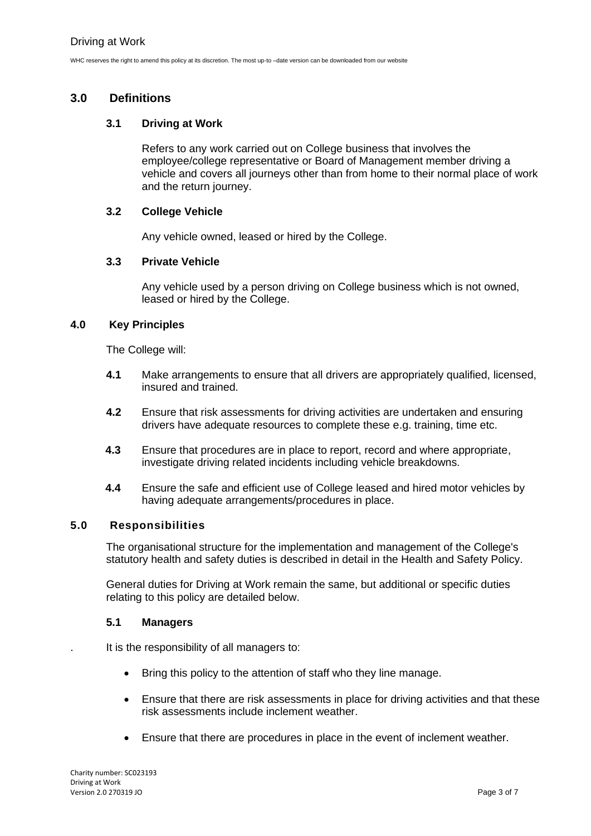#### **3.0 Definitions**

#### **3.1 Driving at Work**

Refers to any work carried out on College business that involves the employee/college representative or Board of Management member driving a vehicle and covers all journeys other than from home to their normal place of work and the return journey.

#### **3.2 College Vehicle**

Any vehicle owned, leased or hired by the College.

#### **3.3 Private Vehicle**

Any vehicle used by a person driving on College business which is not owned, leased or hired by the College.

#### **4.0 Key Principles**

The College will:

- **4.1** Make arrangements to ensure that all drivers are appropriately qualified, licensed, insured and trained.
- **4.2** Ensure that risk assessments for driving activities are undertaken and ensuring drivers have adequate resources to complete these e.g. training, time etc.
- **4.3** Ensure that procedures are in place to report, record and where appropriate, investigate driving related incidents including vehicle breakdowns.
- **4.4** Ensure the safe and efficient use of College leased and hired motor vehicles by having adequate arrangements/procedures in place.

#### **5.0 Responsibilities**

The organisational structure for the implementation and management of the College's statutory health and safety duties is described in detail in the Health and Safety Policy.

General duties for Driving at Work remain the same, but additional or specific duties relating to this policy are detailed below.

#### **5.1 Managers**

. It is the responsibility of all managers to:

- Bring this policy to the attention of staff who they line manage.
- Ensure that there are risk assessments in place for driving activities and that these risk assessments include inclement weather.
- Ensure that there are procedures in place in the event of inclement weather.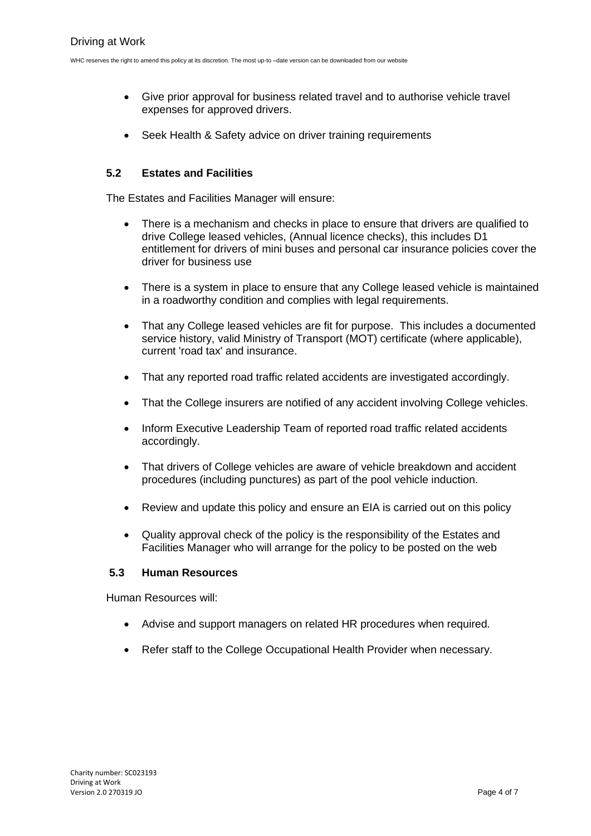- Give prior approval for business related travel and to authorise vehicle travel expenses for approved drivers.
- Seek Health & Safety advice on driver training requirements

#### **5.2 Estates and Facilities**

The Estates and Facilities Manager will ensure:

- There is a mechanism and checks in place to ensure that drivers are qualified to drive College leased vehicles, (Annual licence checks), this includes D1 entitlement for drivers of mini buses and personal car insurance policies cover the driver for business use
- There is a system in place to ensure that any College leased vehicle is maintained in a roadworthy condition and complies with legal requirements.
- That any College leased vehicles are fit for purpose. This includes a documented service history, valid Ministry of Transport (MOT) certificate (where applicable), current 'road tax' and insurance.
- That any reported road traffic related accidents are investigated accordingly.
- That the College insurers are notified of any accident involving College vehicles.
- Inform Executive Leadership Team of reported road traffic related accidents accordingly.
- That drivers of College vehicles are aware of vehicle breakdown and accident procedures (including punctures) as part of the pool vehicle induction.
- Review and update this policy and ensure an EIA is carried out on this policy
- Quality approval check of the policy is the responsibility of the Estates and Facilities Manager who will arrange for the policy to be posted on the web

#### **5.3 Human Resources**

Human Resources will:

- Advise and support managers on related HR procedures when required.
- Refer staff to the College Occupational Health Provider when necessary.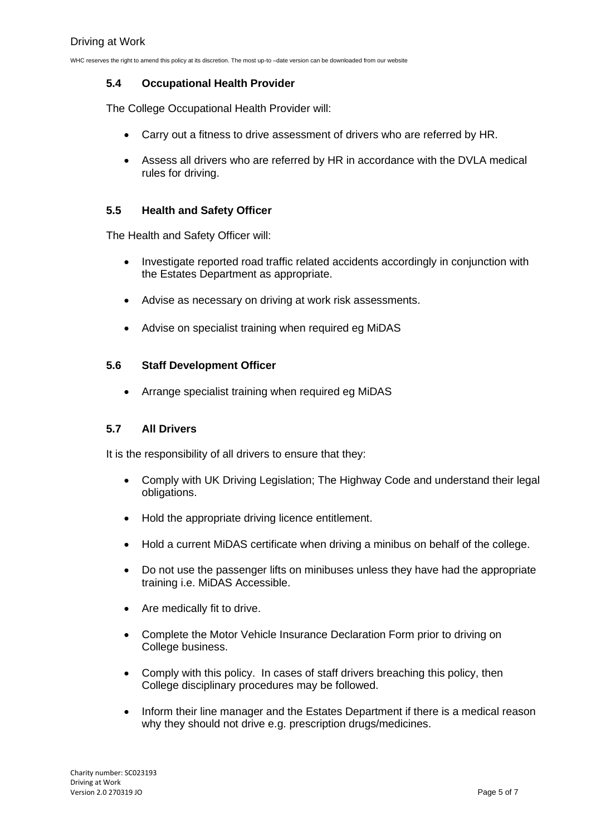#### **5.4 Occupational Health Provider**

The College Occupational Health Provider will:

- Carry out a fitness to drive assessment of drivers who are referred by HR.
- Assess all drivers who are referred by HR in accordance with the DVLA medical rules for driving.

#### **5.5 Health and Safety Officer**

The Health and Safety Officer will:

- Investigate reported road traffic related accidents accordingly in conjunction with the Estates Department as appropriate.
- Advise as necessary on driving at work risk assessments.
- Advise on specialist training when required eg MiDAS

#### **5.6 Staff Development Officer**

• Arrange specialist training when required eg MiDAS

#### **5.7 All Drivers**

It is the responsibility of all drivers to ensure that they:

- Comply with UK Driving Legislation; The Highway Code and understand their legal obligations.
- Hold the appropriate driving licence entitlement.
- Hold a current MiDAS certificate when driving a minibus on behalf of the college.
- Do not use the passenger lifts on minibuses unless they have had the appropriate training i.e. MiDAS Accessible.
- Are medically fit to drive.
- Complete the Motor Vehicle Insurance Declaration Form prior to driving on College business.
- Comply with this policy. In cases of staff drivers breaching this policy, then College disciplinary procedures may be followed.
- Inform their line manager and the Estates Department if there is a medical reason why they should not drive e.g. prescription drugs/medicines.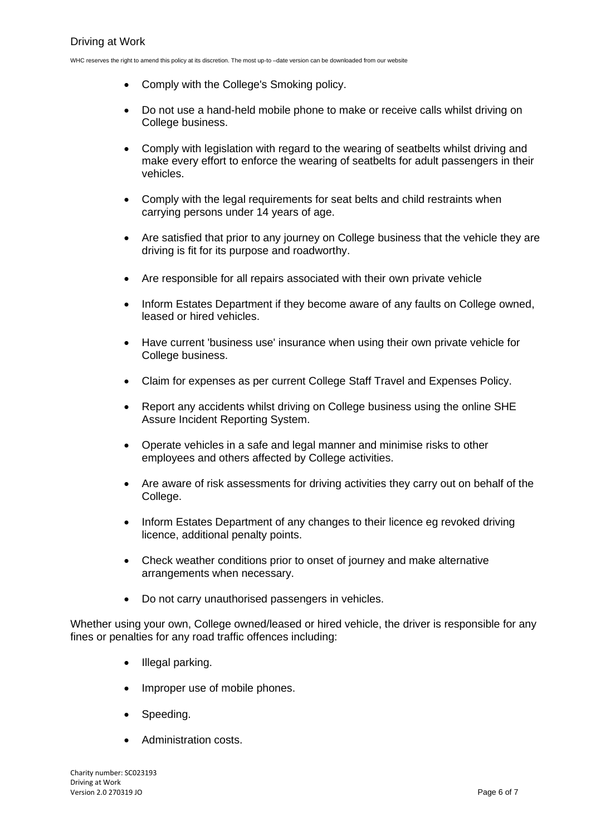- Comply with the College's Smoking policy.
- Do not use a hand-held mobile phone to make or receive calls whilst driving on College business.
- Comply with legislation with regard to the wearing of seatbelts whilst driving and make every effort to enforce the wearing of seatbelts for adult passengers in their vehicles.
- Comply with the legal requirements for seat belts and child restraints when carrying persons under 14 years of age.
- Are satisfied that prior to any journey on College business that the vehicle they are driving is fit for its purpose and roadworthy.
- Are responsible for all repairs associated with their own private vehicle
- Inform Estates Department if they become aware of any faults on College owned, leased or hired vehicles.
- Have current 'business use' insurance when using their own private vehicle for College business.
- Claim for expenses as per current College Staff Travel and Expenses Policy.
- Report any accidents whilst driving on College business using the online SHE Assure Incident Reporting System.
- Operate vehicles in a safe and legal manner and minimise risks to other employees and others affected by College activities.
- Are aware of risk assessments for driving activities they carry out on behalf of the College.
- Inform Estates Department of any changes to their licence eg revoked driving licence, additional penalty points.
- Check weather conditions prior to onset of journey and make alternative arrangements when necessary.
- Do not carry unauthorised passengers in vehicles.

Whether using your own, College owned/leased or hired vehicle, the driver is responsible for any fines or penalties for any road traffic offences including:

- Illegal parking.
- Improper use of mobile phones.
- Speeding.
- Administration costs.